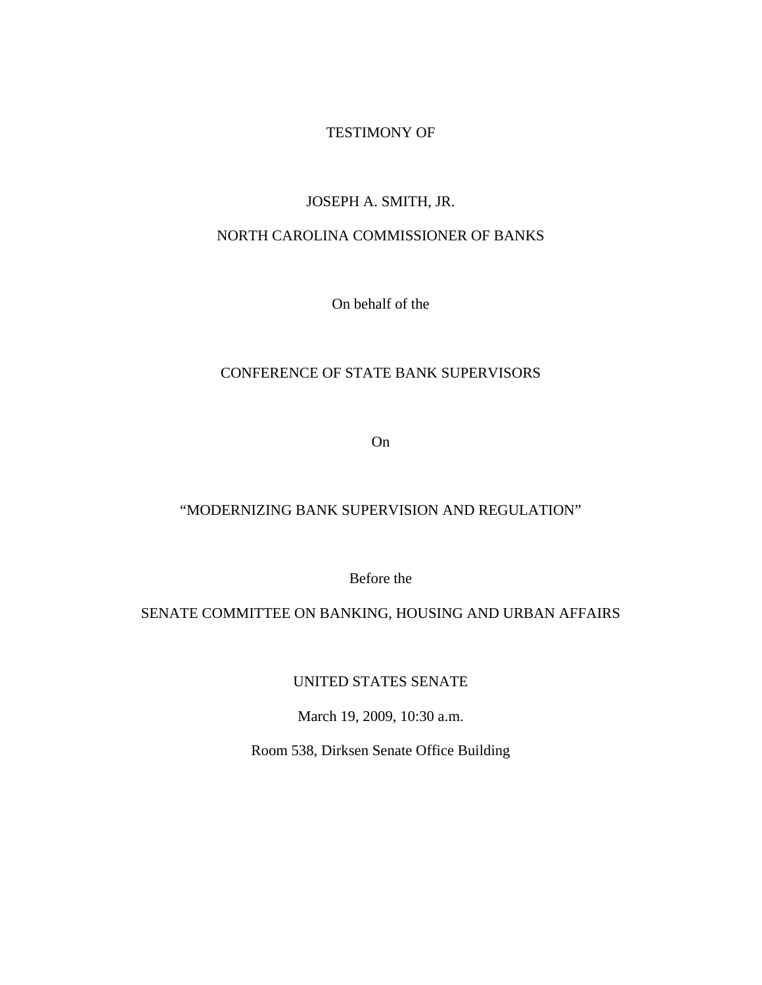## TESTIMONY OF

## JOSEPH A. SMITH, JR.

# NORTH CAROLINA COMMISSIONER OF BANKS

On behalf of the

# CONFERENCE OF STATE BANK SUPERVISORS

On

## "MODERNIZING BANK SUPERVISION AND REGULATION"

Before the

# SENATE COMMITTEE ON BANKING, HOUSING AND URBAN AFFAIRS

UNITED STATES SENATE

March 19, 2009, 10:30 a.m.

Room 538, Dirksen Senate Office Building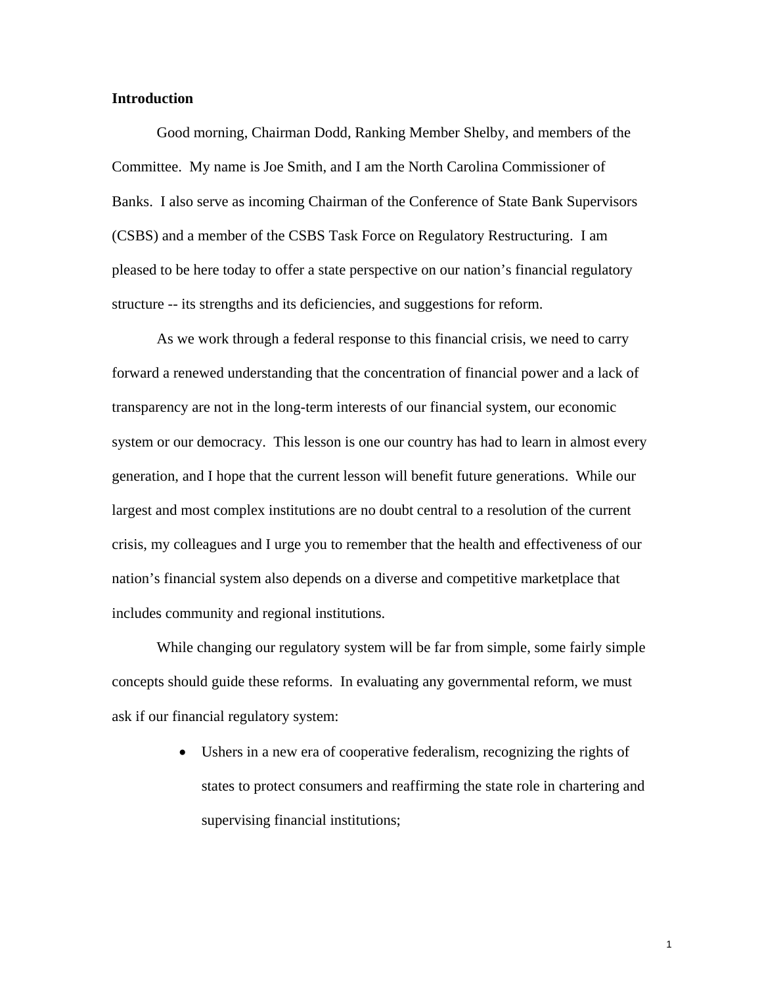### **Introduction**

Good morning, Chairman Dodd, Ranking Member Shelby, and members of the Committee. My name is Joe Smith, and I am the North Carolina Commissioner of Banks. I also serve as incoming Chairman of the Conference of State Bank Supervisors (CSBS) and a member of the CSBS Task Force on Regulatory Restructuring. I am pleased to be here today to offer a state perspective on our nation's financial regulatory structure -- its strengths and its deficiencies, and suggestions for reform.

As we work through a federal response to this financial crisis, we need to carry forward a renewed understanding that the concentration of financial power and a lack of transparency are not in the long-term interests of our financial system, our economic system or our democracy. This lesson is one our country has had to learn in almost every generation, and I hope that the current lesson will benefit future generations. While our largest and most complex institutions are no doubt central to a resolution of the current crisis, my colleagues and I urge you to remember that the health and effectiveness of our nation's financial system also depends on a diverse and competitive marketplace that includes community and regional institutions.

 While changing our regulatory system will be far from simple, some fairly simple concepts should guide these reforms. In evaluating any governmental reform, we must ask if our financial regulatory system:

> • Ushers in a new era of cooperative federalism, recognizing the rights of states to protect consumers and reaffirming the state role in chartering and supervising financial institutions;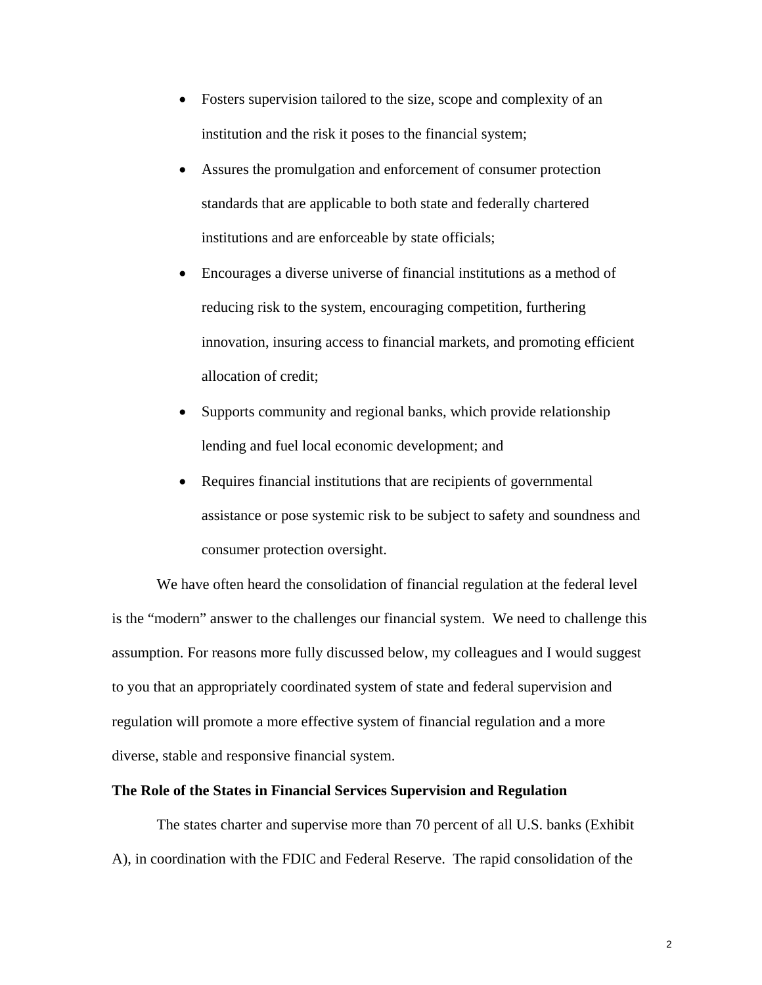- Fosters supervision tailored to the size, scope and complexity of an institution and the risk it poses to the financial system;
- Assures the promulgation and enforcement of consumer protection standards that are applicable to both state and federally chartered institutions and are enforceable by state officials;
- Encourages a diverse universe of financial institutions as a method of reducing risk to the system, encouraging competition, furthering innovation, insuring access to financial markets, and promoting efficient allocation of credit;
- Supports community and regional banks, which provide relationship lending and fuel local economic development; and
- Requires financial institutions that are recipients of governmental assistance or pose systemic risk to be subject to safety and soundness and consumer protection oversight.

We have often heard the consolidation of financial regulation at the federal level is the "modern" answer to the challenges our financial system. We need to challenge this assumption. For reasons more fully discussed below, my colleagues and I would suggest to you that an appropriately coordinated system of state and federal supervision and regulation will promote a more effective system of financial regulation and a more diverse, stable and responsive financial system.

### **The Role of the States in Financial Services Supervision and Regulation**

The states charter and supervise more than 70 percent of all U.S. banks (Exhibit A), in coordination with the FDIC and Federal Reserve. The rapid consolidation of the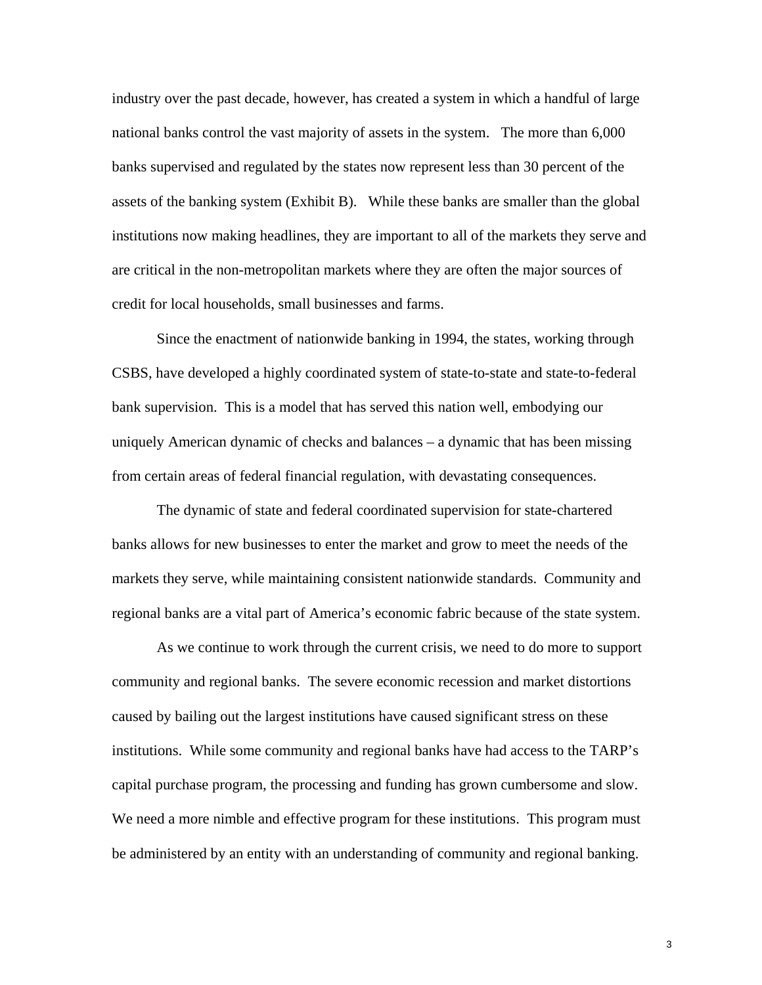industry over the past decade, however, has created a system in which a handful of large national banks control the vast majority of assets in the system. The more than 6,000 banks supervised and regulated by the states now represent less than 30 percent of the assets of the banking system (Exhibit B). While these banks are smaller than the global institutions now making headlines, they are important to all of the markets they serve and are critical in the non-metropolitan markets where they are often the major sources of credit for local households, small businesses and farms.

 Since the enactment of nationwide banking in 1994, the states, working through CSBS, have developed a highly coordinated system of state-to-state and state-to-federal bank supervision. This is a model that has served this nation well, embodying our uniquely American dynamic of checks and balances – a dynamic that has been missing from certain areas of federal financial regulation, with devastating consequences.

 The dynamic of state and federal coordinated supervision for state-chartered banks allows for new businesses to enter the market and grow to meet the needs of the markets they serve, while maintaining consistent nationwide standards. Community and regional banks are a vital part of America's economic fabric because of the state system.

 As we continue to work through the current crisis, we need to do more to support community and regional banks. The severe economic recession and market distortions caused by bailing out the largest institutions have caused significant stress on these institutions. While some community and regional banks have had access to the TARP's capital purchase program, the processing and funding has grown cumbersome and slow. We need a more nimble and effective program for these institutions. This program must be administered by an entity with an understanding of community and regional banking.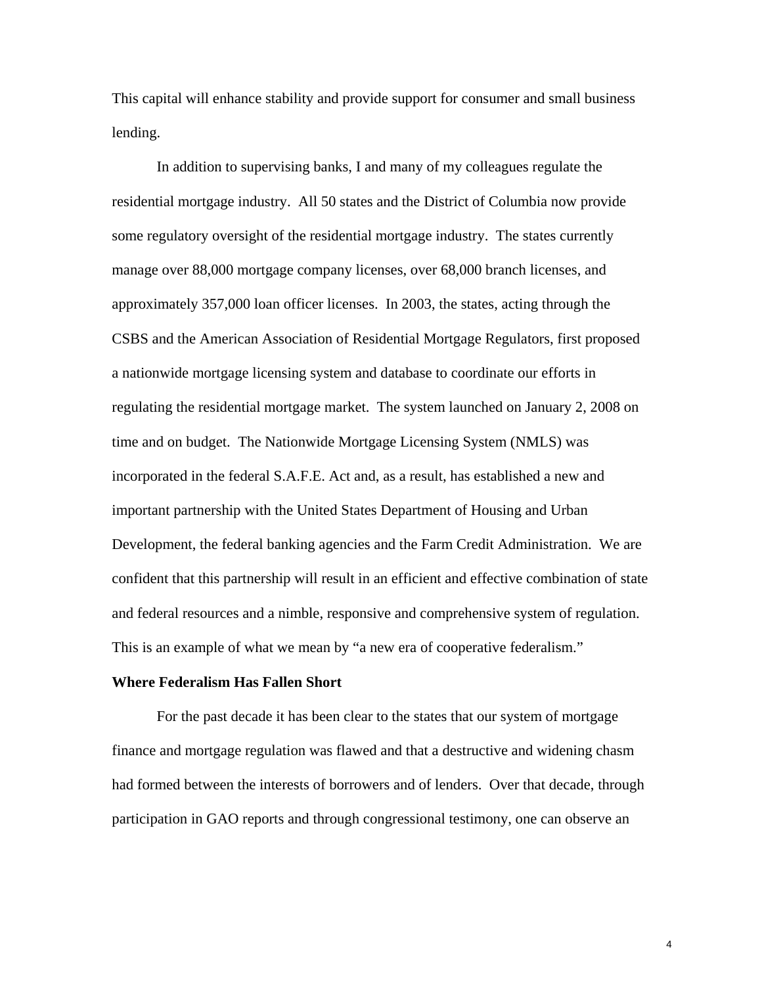This capital will enhance stability and provide support for consumer and small business lending.

 In addition to supervising banks, I and many of my colleagues regulate the residential mortgage industry. All 50 states and the District of Columbia now provide some regulatory oversight of the residential mortgage industry. The states currently manage over 88,000 mortgage company licenses, over 68,000 branch licenses, and approximately 357,000 loan officer licenses. In 2003, the states, acting through the CSBS and the American Association of Residential Mortgage Regulators, first proposed a nationwide mortgage licensing system and database to coordinate our efforts in regulating the residential mortgage market. The system launched on January 2, 2008 on time and on budget. The Nationwide Mortgage Licensing System (NMLS) was incorporated in the federal S.A.F.E. Act and, as a result, has established a new and important partnership with the United States Department of Housing and Urban Development, the federal banking agencies and the Farm Credit Administration. We are confident that this partnership will result in an efficient and effective combination of state and federal resources and a nimble, responsive and comprehensive system of regulation. This is an example of what we mean by "a new era of cooperative federalism."

#### **Where Federalism Has Fallen Short**

For the past decade it has been clear to the states that our system of mortgage finance and mortgage regulation was flawed and that a destructive and widening chasm had formed between the interests of borrowers and of lenders. Over that decade, through participation in GAO reports and through congressional testimony, one can observe an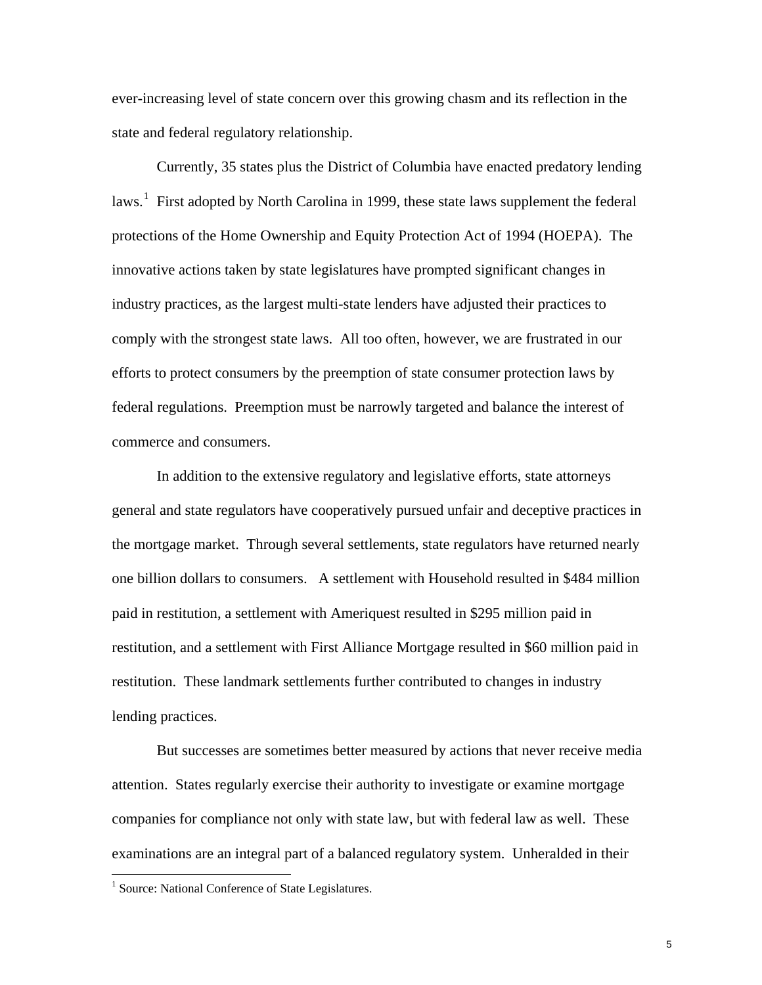ever-increasing level of state concern over this growing chasm and its reflection in the state and federal regulatory relationship.

Currently, 35 states plus the District of Columbia have enacted predatory lending laws.<sup>[1](#page-5-0)</sup> First adopted by North Carolina in 1999, these state laws supplement the federal protections of the Home Ownership and Equity Protection Act of 1994 (HOEPA). The innovative actions taken by state legislatures have prompted significant changes in industry practices, as the largest multi-state lenders have adjusted their practices to comply with the strongest state laws. All too often, however, we are frustrated in our efforts to protect consumers by the preemption of state consumer protection laws by federal regulations. Preemption must be narrowly targeted and balance the interest of commerce and consumers.

In addition to the extensive regulatory and legislative efforts, state attorneys general and state regulators have cooperatively pursued unfair and deceptive practices in the mortgage market. Through several settlements, state regulators have returned nearly one billion dollars to consumers. A settlement with Household resulted in \$484 million paid in restitution, a settlement with Ameriquest resulted in \$295 million paid in restitution, and a settlement with First Alliance Mortgage resulted in \$60 million paid in restitution. These landmark settlements further contributed to changes in industry lending practices.

But successes are sometimes better measured by actions that never receive media attention. States regularly exercise their authority to investigate or examine mortgage companies for compliance not only with state law, but with federal law as well. These examinations are an integral part of a balanced regulatory system. Unheralded in their

 $\overline{a}$ 

<span id="page-5-0"></span><sup>&</sup>lt;sup>1</sup> Source: National Conference of State Legislatures.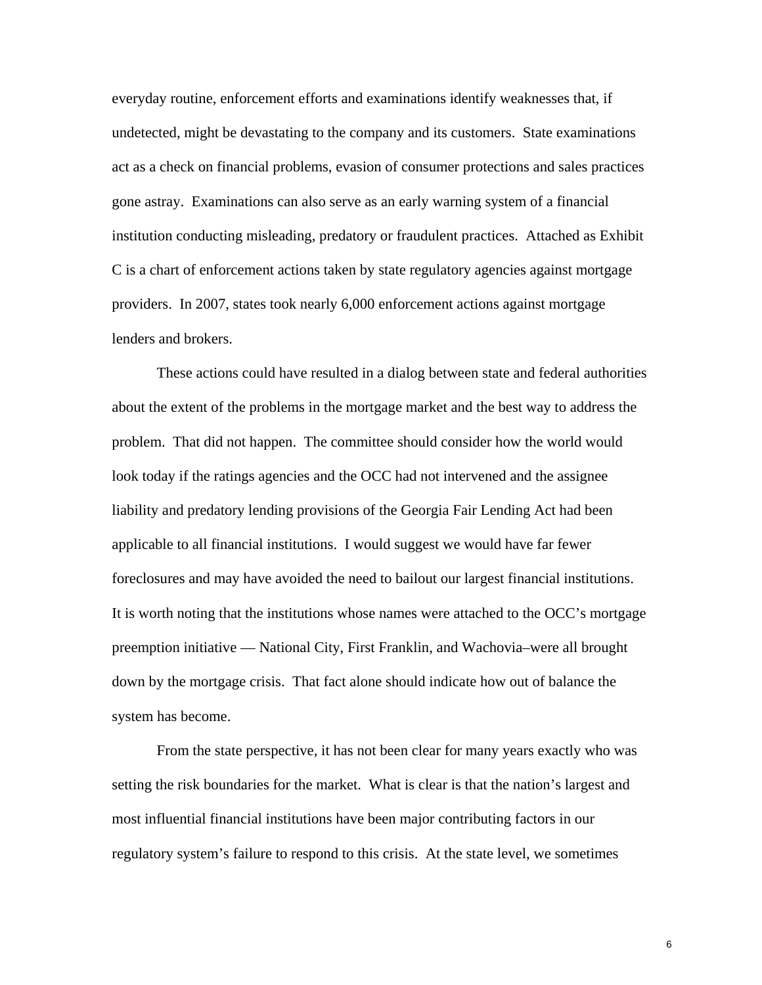everyday routine, enforcement efforts and examinations identify weaknesses that, if undetected, might be devastating to the company and its customers. State examinations act as a check on financial problems, evasion of consumer protections and sales practices gone astray. Examinations can also serve as an early warning system of a financial institution conducting misleading, predatory or fraudulent practices. Attached as Exhibit C is a chart of enforcement actions taken by state regulatory agencies against mortgage providers. In 2007, states took nearly 6,000 enforcement actions against mortgage lenders and brokers.

These actions could have resulted in a dialog between state and federal authorities about the extent of the problems in the mortgage market and the best way to address the problem. That did not happen. The committee should consider how the world would look today if the ratings agencies and the OCC had not intervened and the assignee liability and predatory lending provisions of the Georgia Fair Lending Act had been applicable to all financial institutions. I would suggest we would have far fewer foreclosures and may have avoided the need to bailout our largest financial institutions. It is worth noting that the institutions whose names were attached to the OCC's mortgage preemption initiative — National City, First Franklin, and Wachovia–were all brought down by the mortgage crisis. That fact alone should indicate how out of balance the system has become.

From the state perspective, it has not been clear for many years exactly who was setting the risk boundaries for the market. What is clear is that the nation's largest and most influential financial institutions have been major contributing factors in our regulatory system's failure to respond to this crisis. At the state level, we sometimes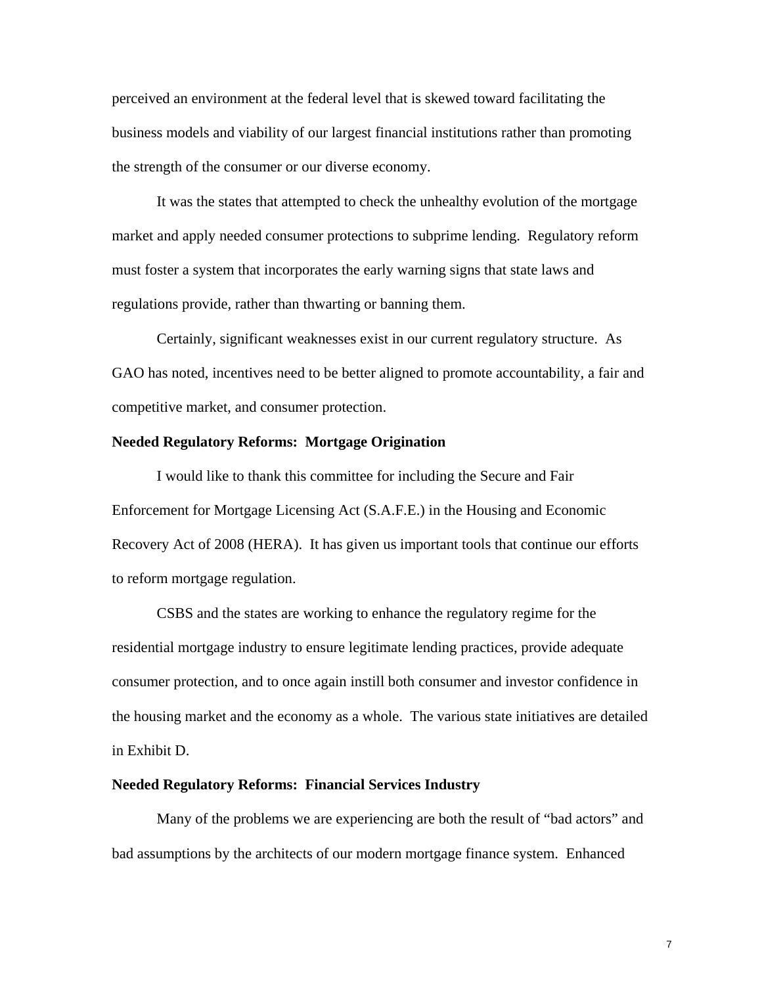perceived an environment at the federal level that is skewed toward facilitating the business models and viability of our largest financial institutions rather than promoting the strength of the consumer or our diverse economy.

 It was the states that attempted to check the unhealthy evolution of the mortgage market and apply needed consumer protections to subprime lending. Regulatory reform must foster a system that incorporates the early warning signs that state laws and regulations provide, rather than thwarting or banning them.

 Certainly, significant weaknesses exist in our current regulatory structure. As GAO has noted, incentives need to be better aligned to promote accountability, a fair and competitive market, and consumer protection.

### **Needed Regulatory Reforms: Mortgage Origination**

I would like to thank this committee for including the Secure and Fair Enforcement for Mortgage Licensing Act (S.A.F.E.) in the Housing and Economic Recovery Act of 2008 (HERA). It has given us important tools that continue our efforts to reform mortgage regulation.

CSBS and the states are working to enhance the regulatory regime for the residential mortgage industry to ensure legitimate lending practices, provide adequate consumer protection, and to once again instill both consumer and investor confidence in the housing market and the economy as a whole. The various state initiatives are detailed in Exhibit D.

#### **Needed Regulatory Reforms: Financial Services Industry**

Many of the problems we are experiencing are both the result of "bad actors" and bad assumptions by the architects of our modern mortgage finance system. Enhanced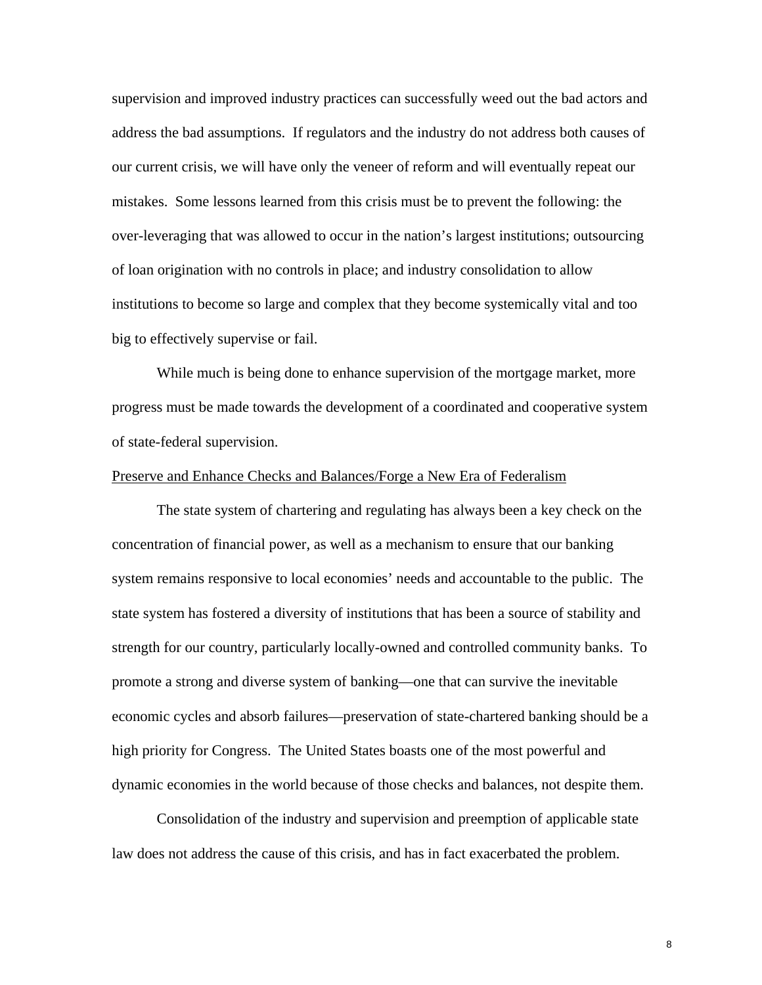supervision and improved industry practices can successfully weed out the bad actors and address the bad assumptions. If regulators and the industry do not address both causes of our current crisis, we will have only the veneer of reform and will eventually repeat our mistakes. Some lessons learned from this crisis must be to prevent the following: the over-leveraging that was allowed to occur in the nation's largest institutions; outsourcing of loan origination with no controls in place; and industry consolidation to allow institutions to become so large and complex that they become systemically vital and too big to effectively supervise or fail.

While much is being done to enhance supervision of the mortgage market, more progress must be made towards the development of a coordinated and cooperative system of state-federal supervision.

### Preserve and Enhance Checks and Balances/Forge a New Era of Federalism

The state system of chartering and regulating has always been a key check on the concentration of financial power, as well as a mechanism to ensure that our banking system remains responsive to local economies' needs and accountable to the public. The state system has fostered a diversity of institutions that has been a source of stability and strength for our country, particularly locally-owned and controlled community banks. To promote a strong and diverse system of banking—one that can survive the inevitable economic cycles and absorb failures—preservation of state-chartered banking should be a high priority for Congress. The United States boasts one of the most powerful and dynamic economies in the world because of those checks and balances, not despite them.

 Consolidation of the industry and supervision and preemption of applicable state law does not address the cause of this crisis, and has in fact exacerbated the problem.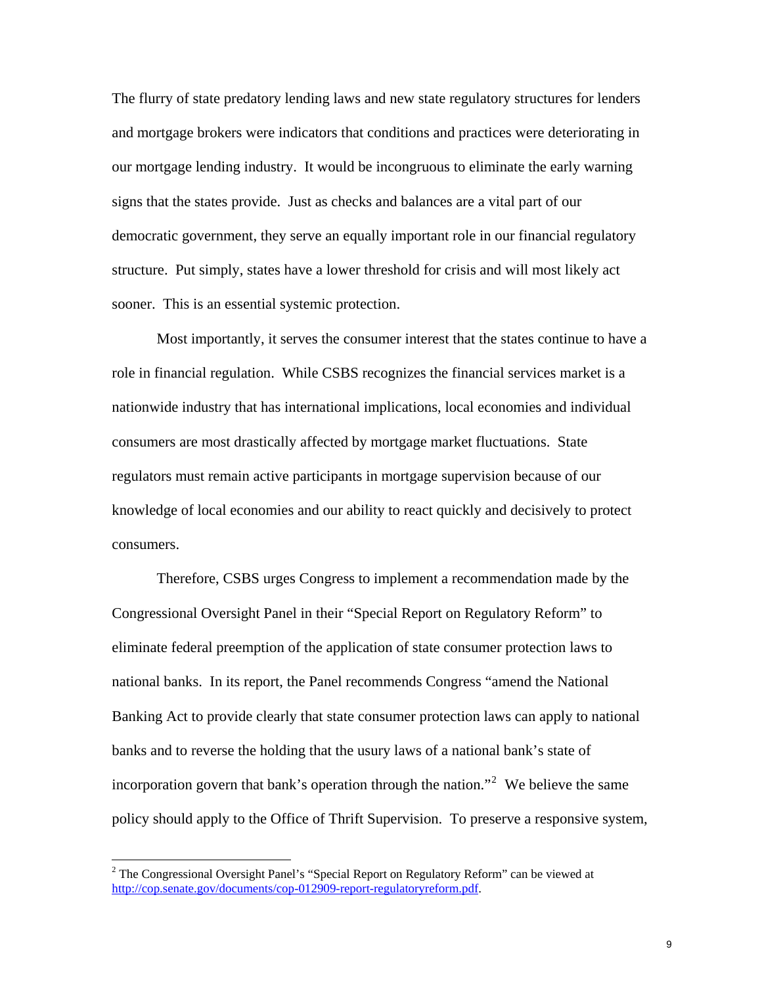The flurry of state predatory lending laws and new state regulatory structures for lenders and mortgage brokers were indicators that conditions and practices were deteriorating in our mortgage lending industry. It would be incongruous to eliminate the early warning signs that the states provide. Just as checks and balances are a vital part of our democratic government, they serve an equally important role in our financial regulatory structure. Put simply, states have a lower threshold for crisis and will most likely act sooner. This is an essential systemic protection.

Most importantly, it serves the consumer interest that the states continue to have a role in financial regulation. While CSBS recognizes the financial services market is a nationwide industry that has international implications, local economies and individual consumers are most drastically affected by mortgage market fluctuations. State regulators must remain active participants in mortgage supervision because of our knowledge of local economies and our ability to react quickly and decisively to protect consumers.

Therefore, CSBS urges Congress to implement a recommendation made by the Congressional Oversight Panel in their "Special Report on Regulatory Reform" to eliminate federal preemption of the application of state consumer protection laws to national banks. In its report, the Panel recommends Congress "amend the National Banking Act to provide clearly that state consumer protection laws can apply to national banks and to reverse the holding that the usury laws of a national bank's state of incorporation govern that bank's operation through the nation."<sup>[2](#page-9-0)</sup> We believe the same policy should apply to the Office of Thrift Supervision. To preserve a responsive system,

<span id="page-9-0"></span><sup>&</sup>lt;sup>2</sup> The Congressional Oversight Panel's "Special Report on Regulatory Reform" can be viewed at [http://cop.senate.gov/documents/cop-012909-report-regulatoryreform.pdf.](http://cop.senate.gov/documents/cop-012909-report-regulatoryreform.pdf)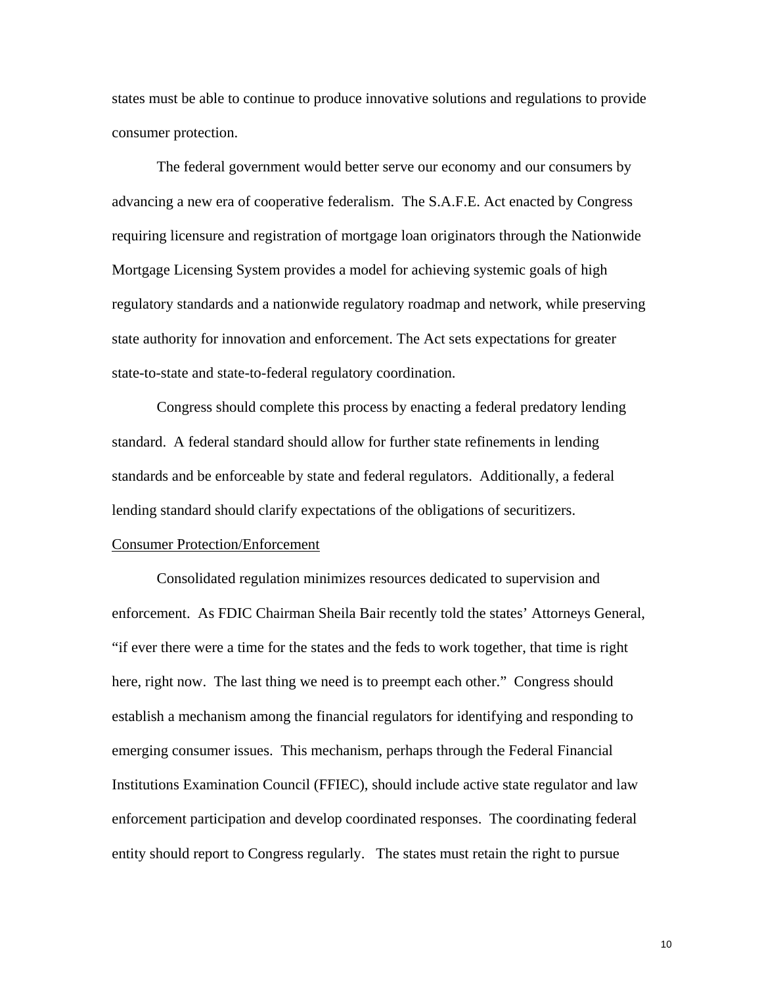states must be able to continue to produce innovative solutions and regulations to provide consumer protection.

The federal government would better serve our economy and our consumers by advancing a new era of cooperative federalism. The S.A.F.E. Act enacted by Congress requiring licensure and registration of mortgage loan originators through the Nationwide Mortgage Licensing System provides a model for achieving systemic goals of high regulatory standards and a nationwide regulatory roadmap and network, while preserving state authority for innovation and enforcement. The Act sets expectations for greater state-to-state and state-to-federal regulatory coordination.

Congress should complete this process by enacting a federal predatory lending standard. A federal standard should allow for further state refinements in lending standards and be enforceable by state and federal regulators. Additionally, a federal lending standard should clarify expectations of the obligations of securitizers.

#### Consumer Protection/Enforcement

Consolidated regulation minimizes resources dedicated to supervision and enforcement. As FDIC Chairman Sheila Bair recently told the states' Attorneys General, "if ever there were a time for the states and the feds to work together, that time is right here, right now. The last thing we need is to preempt each other." Congress should establish a mechanism among the financial regulators for identifying and responding to emerging consumer issues. This mechanism, perhaps through the Federal Financial Institutions Examination Council (FFIEC), should include active state regulator and law enforcement participation and develop coordinated responses. The coordinating federal entity should report to Congress regularly. The states must retain the right to pursue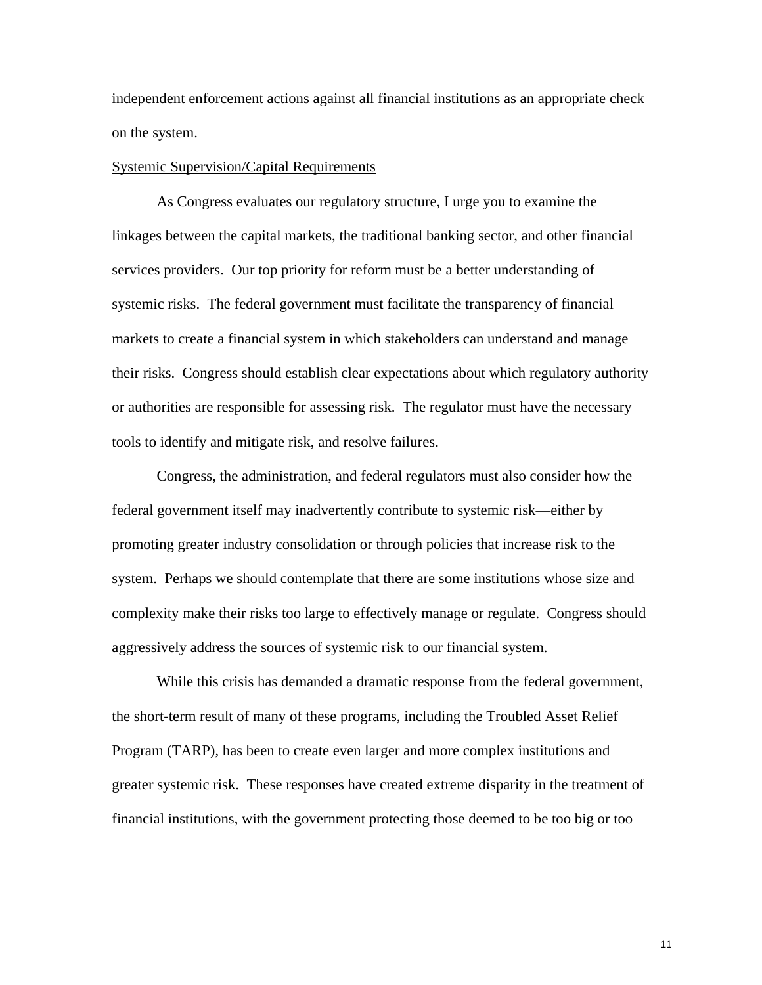independent enforcement actions against all financial institutions as an appropriate check on the system.

### Systemic Supervision/Capital Requirements

 As Congress evaluates our regulatory structure, I urge you to examine the linkages between the capital markets, the traditional banking sector, and other financial services providers. Our top priority for reform must be a better understanding of systemic risks. The federal government must facilitate the transparency of financial markets to create a financial system in which stakeholders can understand and manage their risks. Congress should establish clear expectations about which regulatory authority or authorities are responsible for assessing risk. The regulator must have the necessary tools to identify and mitigate risk, and resolve failures.

 Congress, the administration, and federal regulators must also consider how the federal government itself may inadvertently contribute to systemic risk—either by promoting greater industry consolidation or through policies that increase risk to the system. Perhaps we should contemplate that there are some institutions whose size and complexity make their risks too large to effectively manage or regulate. Congress should aggressively address the sources of systemic risk to our financial system.

While this crisis has demanded a dramatic response from the federal government, the short-term result of many of these programs, including the Troubled Asset Relief Program (TARP), has been to create even larger and more complex institutions and greater systemic risk. These responses have created extreme disparity in the treatment of financial institutions, with the government protecting those deemed to be too big or too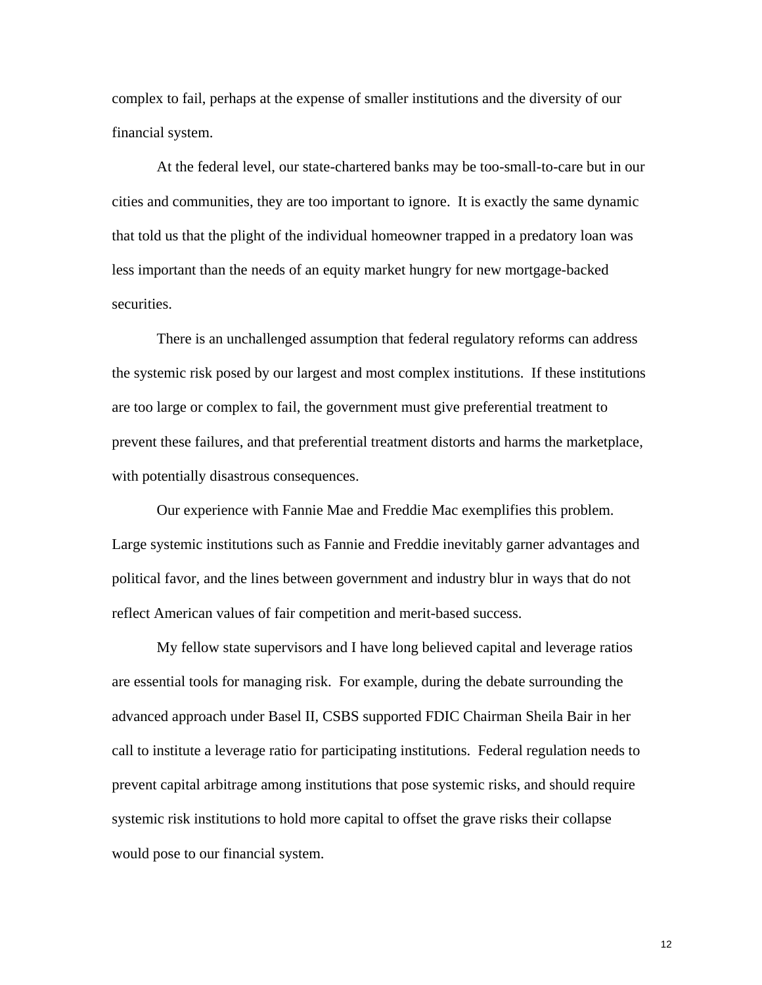complex to fail, perhaps at the expense of smaller institutions and the diversity of our financial system.

At the federal level, our state-chartered banks may be too-small-to-care but in our cities and communities, they are too important to ignore. It is exactly the same dynamic that told us that the plight of the individual homeowner trapped in a predatory loan was less important than the needs of an equity market hungry for new mortgage-backed securities.

There is an unchallenged assumption that federal regulatory reforms can address the systemic risk posed by our largest and most complex institutions. If these institutions are too large or complex to fail, the government must give preferential treatment to prevent these failures, and that preferential treatment distorts and harms the marketplace, with potentially disastrous consequences.

Our experience with Fannie Mae and Freddie Mac exemplifies this problem. Large systemic institutions such as Fannie and Freddie inevitably garner advantages and political favor, and the lines between government and industry blur in ways that do not reflect American values of fair competition and merit-based success.

 My fellow state supervisors and I have long believed capital and leverage ratios are essential tools for managing risk. For example, during the debate surrounding the advanced approach under Basel II, CSBS supported FDIC Chairman Sheila Bair in her call to institute a leverage ratio for participating institutions. Federal regulation needs to prevent capital arbitrage among institutions that pose systemic risks, and should require systemic risk institutions to hold more capital to offset the grave risks their collapse would pose to our financial system.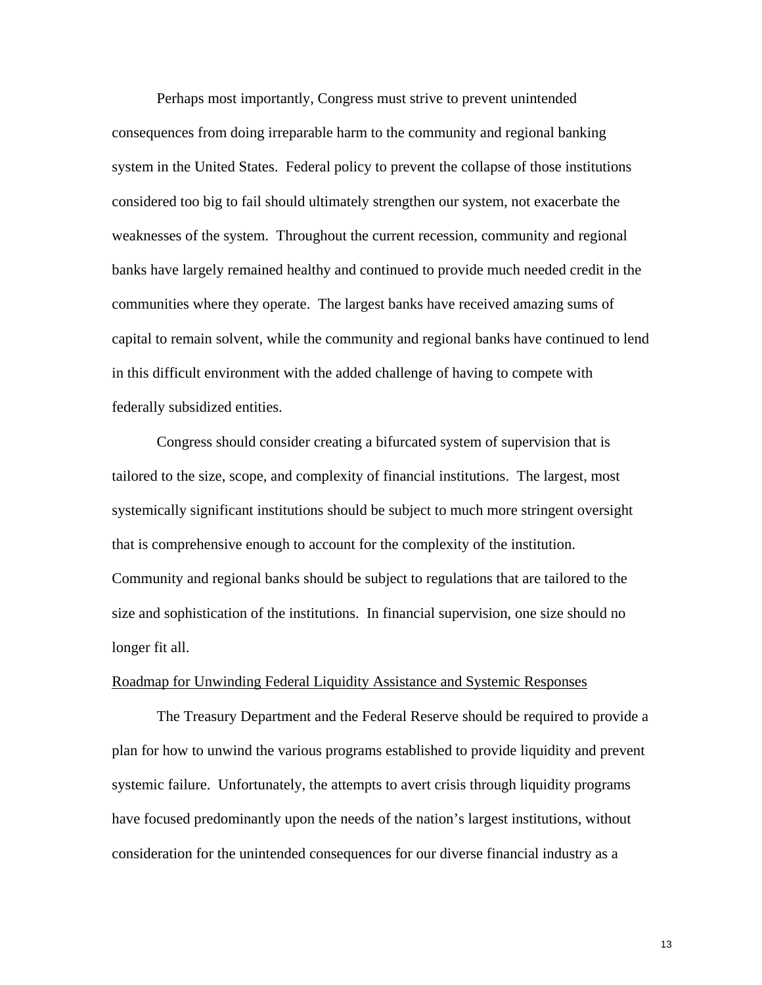Perhaps most importantly, Congress must strive to prevent unintended consequences from doing irreparable harm to the community and regional banking system in the United States. Federal policy to prevent the collapse of those institutions considered too big to fail should ultimately strengthen our system, not exacerbate the weaknesses of the system. Throughout the current recession, community and regional banks have largely remained healthy and continued to provide much needed credit in the communities where they operate. The largest banks have received amazing sums of capital to remain solvent, while the community and regional banks have continued to lend in this difficult environment with the added challenge of having to compete with federally subsidized entities.

Congress should consider creating a bifurcated system of supervision that is tailored to the size, scope, and complexity of financial institutions. The largest, most systemically significant institutions should be subject to much more stringent oversight that is comprehensive enough to account for the complexity of the institution. Community and regional banks should be subject to regulations that are tailored to the size and sophistication of the institutions. In financial supervision, one size should no longer fit all.

#### Roadmap for Unwinding Federal Liquidity Assistance and Systemic Responses

 The Treasury Department and the Federal Reserve should be required to provide a plan for how to unwind the various programs established to provide liquidity and prevent systemic failure. Unfortunately, the attempts to avert crisis through liquidity programs have focused predominantly upon the needs of the nation's largest institutions, without consideration for the unintended consequences for our diverse financial industry as a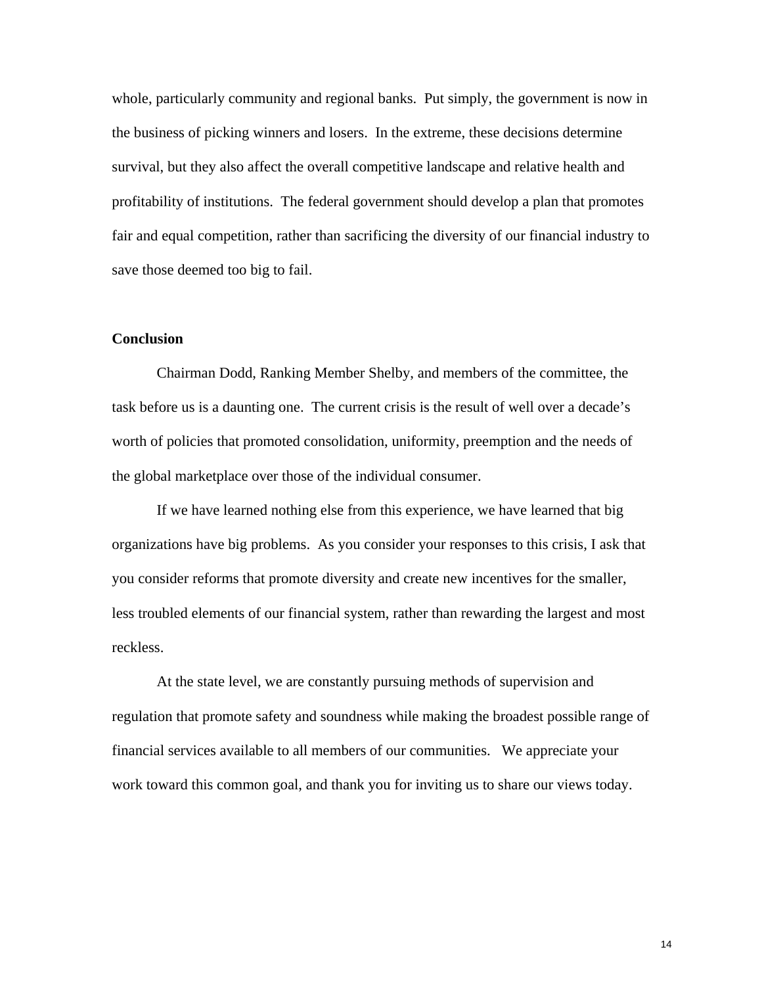whole, particularly community and regional banks. Put simply, the government is now in the business of picking winners and losers. In the extreme, these decisions determine survival, but they also affect the overall competitive landscape and relative health and profitability of institutions. The federal government should develop a plan that promotes fair and equal competition, rather than sacrificing the diversity of our financial industry to save those deemed too big to fail.

### **Conclusion**

Chairman Dodd, Ranking Member Shelby, and members of the committee, the task before us is a daunting one. The current crisis is the result of well over a decade's worth of policies that promoted consolidation, uniformity, preemption and the needs of the global marketplace over those of the individual consumer.

If we have learned nothing else from this experience, we have learned that big organizations have big problems. As you consider your responses to this crisis, I ask that you consider reforms that promote diversity and create new incentives for the smaller, less troubled elements of our financial system, rather than rewarding the largest and most reckless.

At the state level, we are constantly pursuing methods of supervision and regulation that promote safety and soundness while making the broadest possible range of financial services available to all members of our communities. We appreciate your work toward this common goal, and thank you for inviting us to share our views today.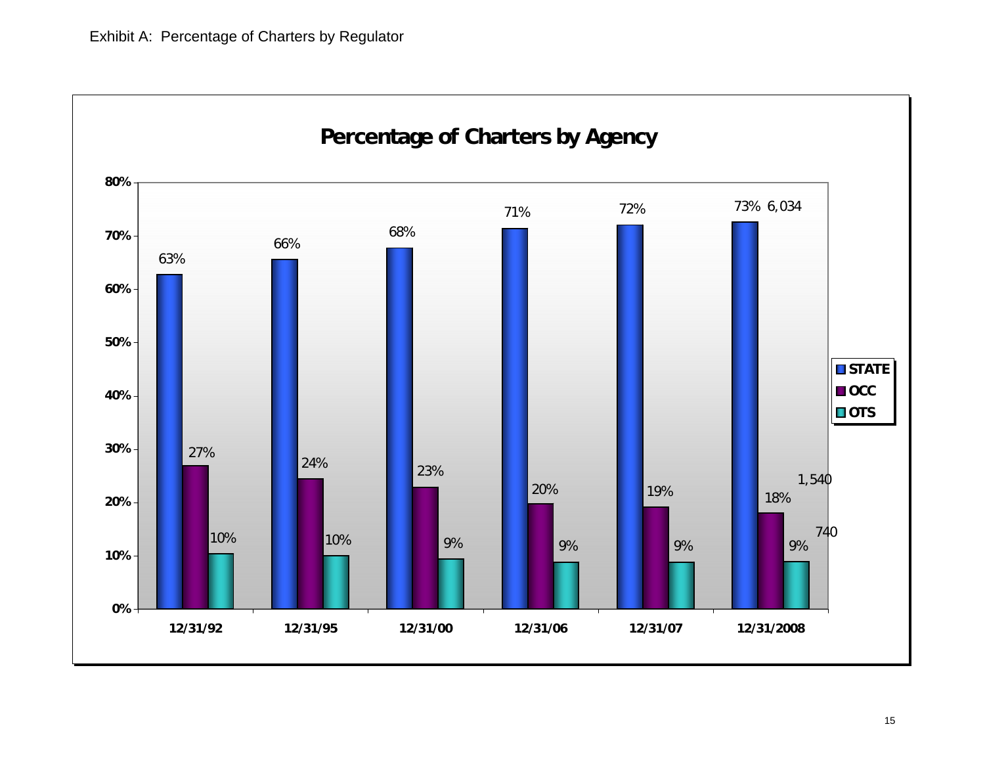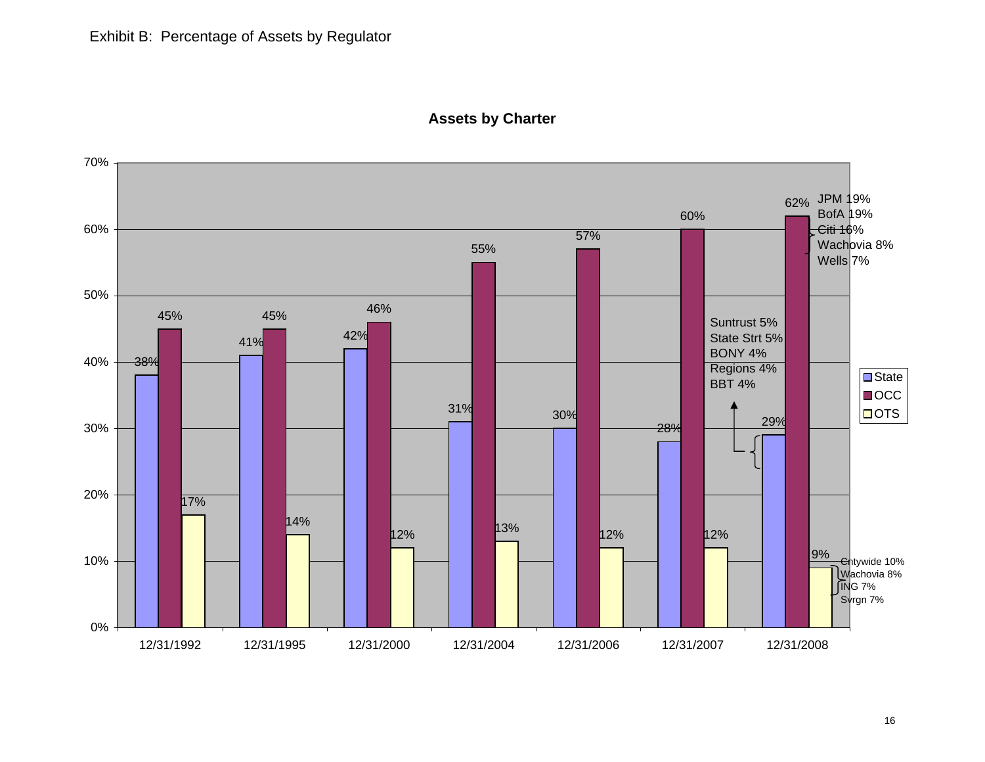

# **Assets by Charter**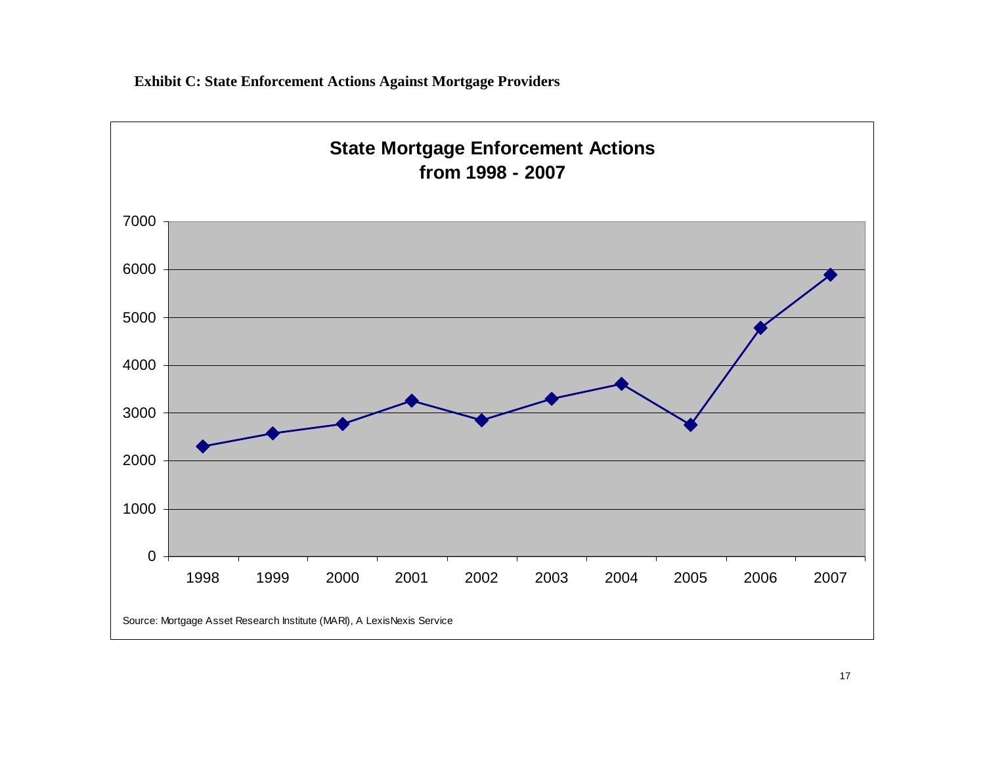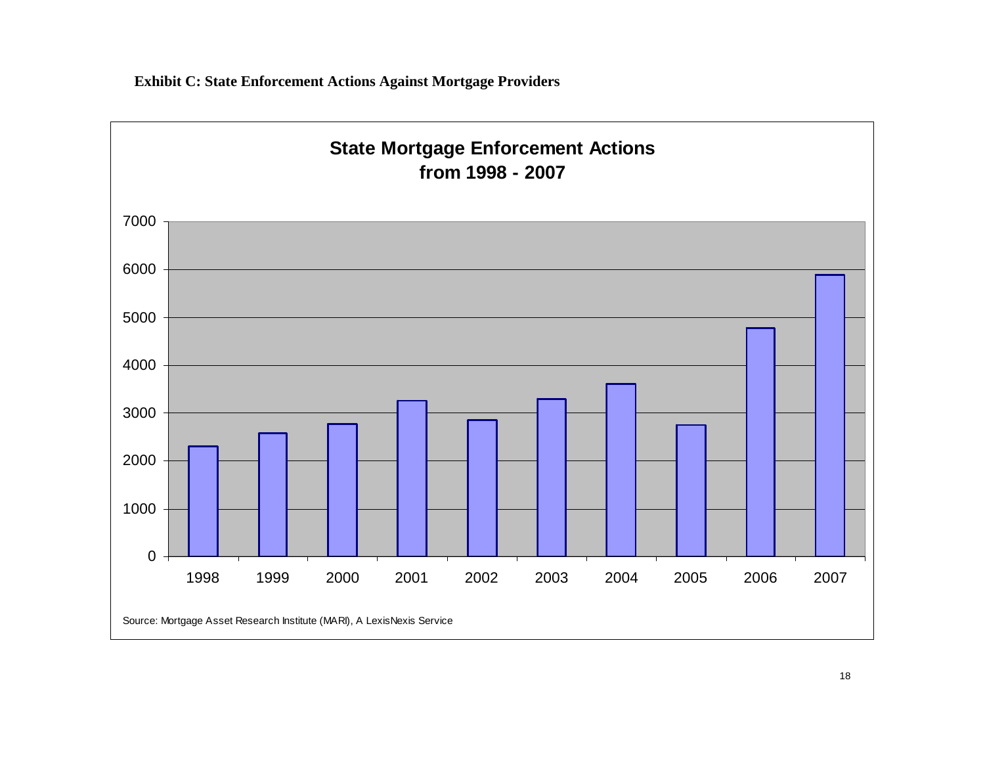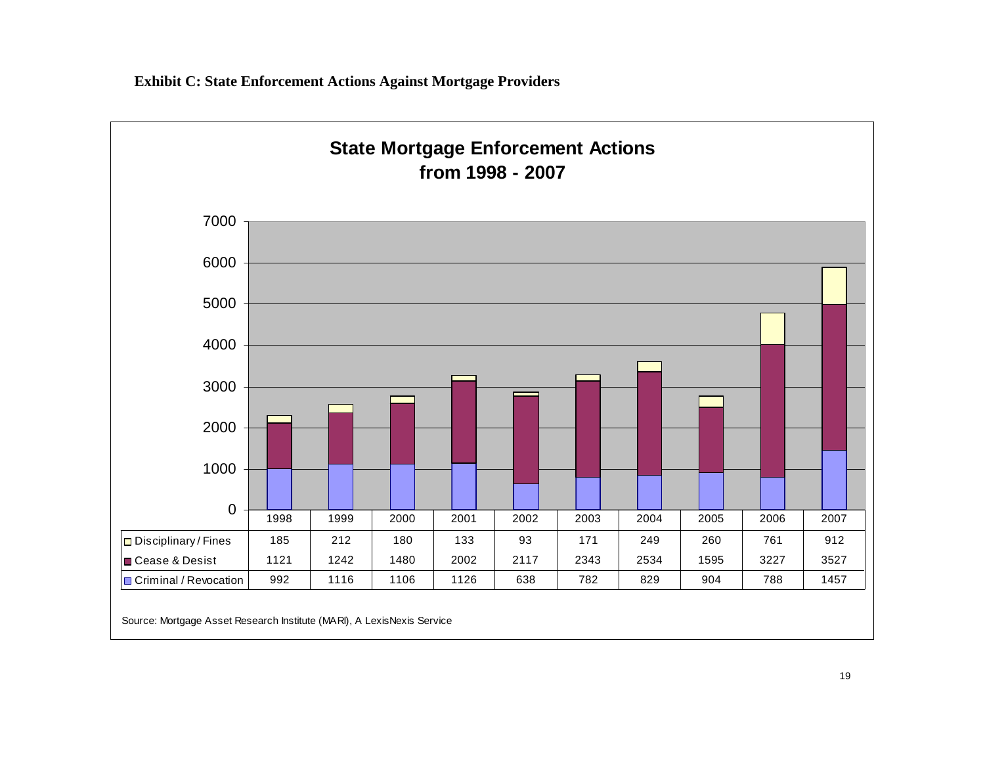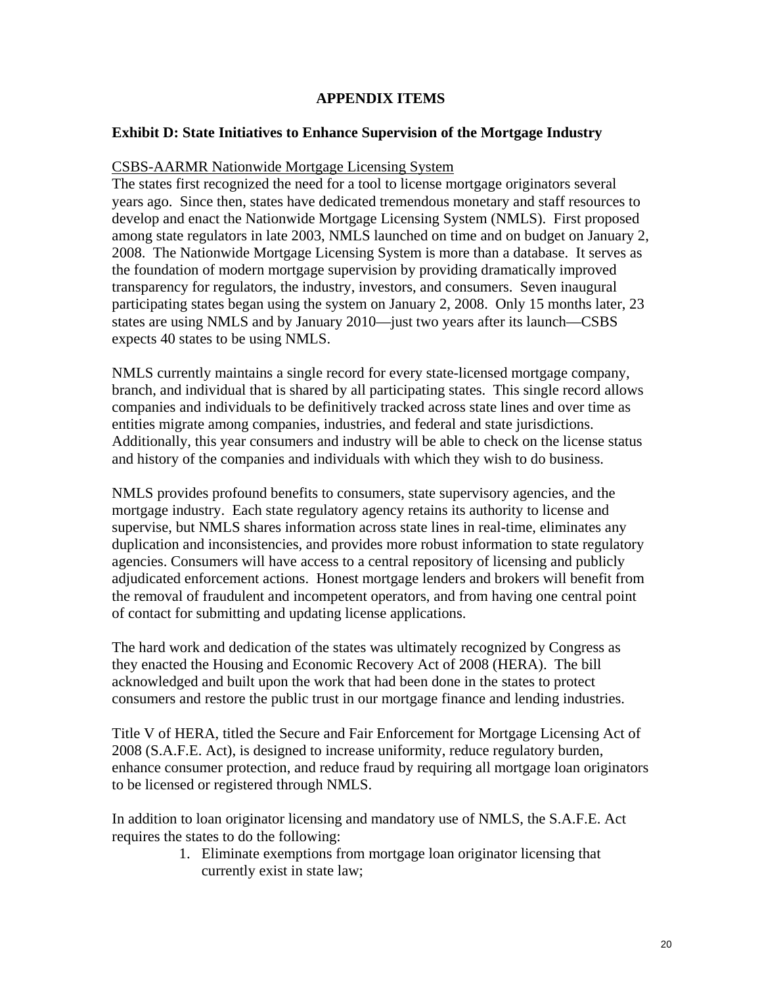## **APPENDIX ITEMS**

## **Exhibit D: State Initiatives to Enhance Supervision of the Mortgage Industry**

### CSBS-AARMR Nationwide Mortgage Licensing System

The states first recognized the need for a tool to license mortgage originators several years ago. Since then, states have dedicated tremendous monetary and staff resources to develop and enact the Nationwide Mortgage Licensing System (NMLS). First proposed among state regulators in late 2003, NMLS launched on time and on budget on January 2, 2008. The Nationwide Mortgage Licensing System is more than a database. It serves as the foundation of modern mortgage supervision by providing dramatically improved transparency for regulators, the industry, investors, and consumers. Seven inaugural participating states began using the system on January 2, 2008. Only 15 months later, 23 states are using NMLS and by January 2010—just two years after its launch—CSBS expects 40 states to be using NMLS.

NMLS currently maintains a single record for every state-licensed mortgage company, branch, and individual that is shared by all participating states. This single record allows companies and individuals to be definitively tracked across state lines and over time as entities migrate among companies, industries, and federal and state jurisdictions. Additionally, this year consumers and industry will be able to check on the license status and history of the companies and individuals with which they wish to do business.

NMLS provides profound benefits to consumers, state supervisory agencies, and the mortgage industry. Each state regulatory agency retains its authority to license and supervise, but NMLS shares information across state lines in real-time, eliminates any duplication and inconsistencies, and provides more robust information to state regulatory agencies. Consumers will have access to a central repository of licensing and publicly adjudicated enforcement actions. Honest mortgage lenders and brokers will benefit from the removal of fraudulent and incompetent operators, and from having one central point of contact for submitting and updating license applications.

The hard work and dedication of the states was ultimately recognized by Congress as they enacted the Housing and Economic Recovery Act of 2008 (HERA). The bill acknowledged and built upon the work that had been done in the states to protect consumers and restore the public trust in our mortgage finance and lending industries.

Title V of HERA, titled the Secure and Fair Enforcement for Mortgage Licensing Act of 2008 (S.A.F.E. Act), is designed to increase uniformity, reduce regulatory burden, enhance consumer protection, and reduce fraud by requiring all mortgage loan originators to be licensed or registered through NMLS.

In addition to loan originator licensing and mandatory use of NMLS, the S.A.F.E. Act requires the states to do the following:

> 1. Eliminate exemptions from mortgage loan originator licensing that currently exist in state law;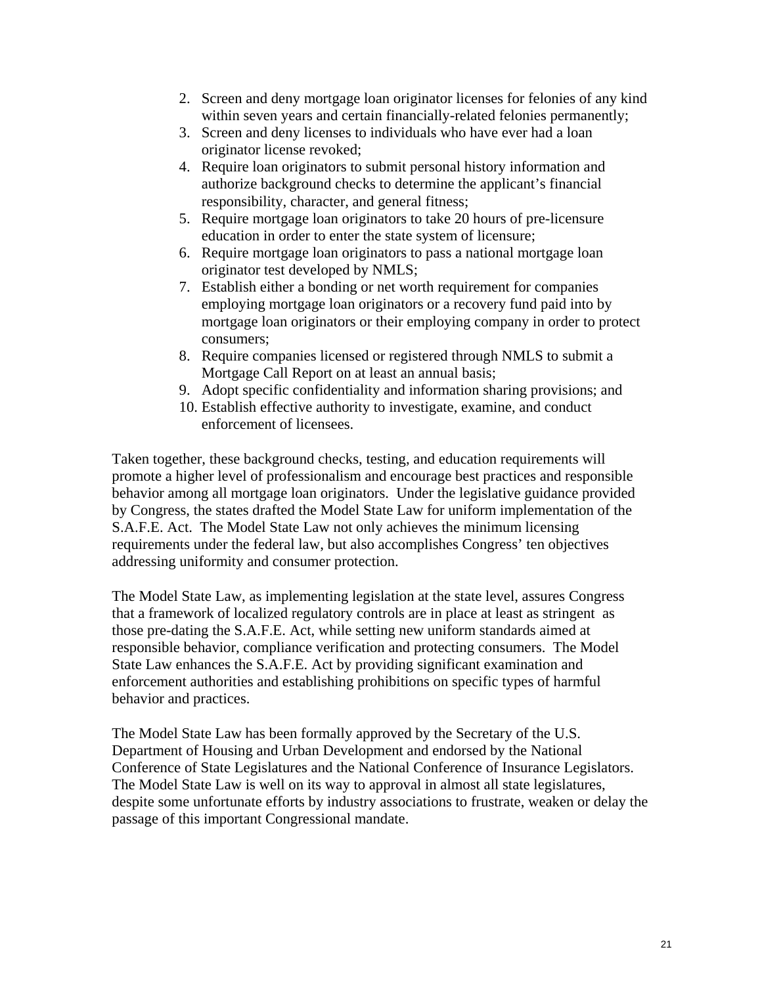- 2. Screen and deny mortgage loan originator licenses for felonies of any kind within seven years and certain financially-related felonies permanently;
- 3. Screen and deny licenses to individuals who have ever had a loan originator license revoked;
- 4. Require loan originators to submit personal history information and authorize background checks to determine the applicant's financial responsibility, character, and general fitness;
- 5. Require mortgage loan originators to take 20 hours of pre-licensure education in order to enter the state system of licensure;
- 6. Require mortgage loan originators to pass a national mortgage loan originator test developed by NMLS;
- 7. Establish either a bonding or net worth requirement for companies employing mortgage loan originators or a recovery fund paid into by mortgage loan originators or their employing company in order to protect consumers;
- 8. Require companies licensed or registered through NMLS to submit a Mortgage Call Report on at least an annual basis;
- 9. Adopt specific confidentiality and information sharing provisions; and
- 10. Establish effective authority to investigate, examine, and conduct enforcement of licensees.

Taken together, these background checks, testing, and education requirements will promote a higher level of professionalism and encourage best practices and responsible behavior among all mortgage loan originators. Under the legislative guidance provided by Congress, the states drafted the Model State Law for uniform implementation of the S.A.F.E. Act. The Model State Law not only achieves the minimum licensing requirements under the federal law, but also accomplishes Congress' ten objectives addressing uniformity and consumer protection.

The Model State Law, as implementing legislation at the state level, assures Congress that a framework of localized regulatory controls are in place at least as stringent as those pre-dating the S.A.F.E. Act, while setting new uniform standards aimed at responsible behavior, compliance verification and protecting consumers. The Model State Law enhances the S.A.F.E. Act by providing significant examination and enforcement authorities and establishing prohibitions on specific types of harmful behavior and practices.

The Model State Law has been formally approved by the Secretary of the U.S. Department of Housing and Urban Development and endorsed by the National Conference of State Legislatures and the National Conference of Insurance Legislators. The Model State Law is well on its way to approval in almost all state legislatures, despite some unfortunate efforts by industry associations to frustrate, weaken or delay the passage of this important Congressional mandate.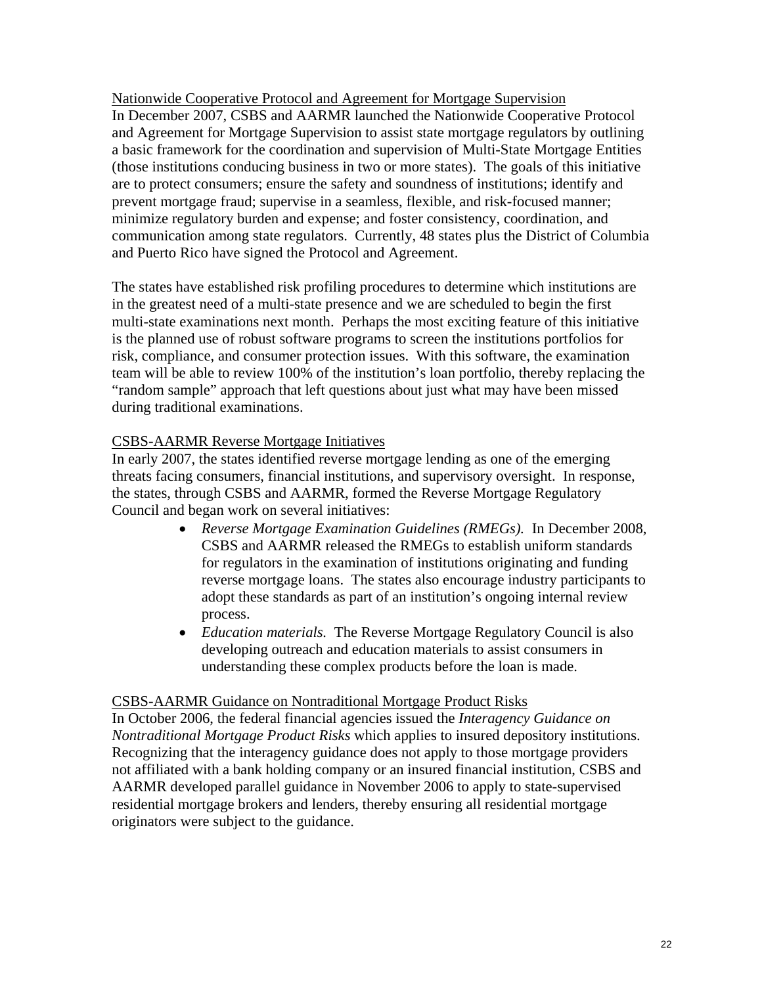Nationwide Cooperative Protocol and Agreement for Mortgage Supervision In December 2007, CSBS and AARMR launched the Nationwide Cooperative Protocol and Agreement for Mortgage Supervision to assist state mortgage regulators by outlining a basic framework for the coordination and supervision of Multi-State Mortgage Entities (those institutions conducing business in two or more states). The goals of this initiative are to protect consumers; ensure the safety and soundness of institutions; identify and prevent mortgage fraud; supervise in a seamless, flexible, and risk-focused manner; minimize regulatory burden and expense; and foster consistency, coordination, and communication among state regulators. Currently, 48 states plus the District of Columbia and Puerto Rico have signed the Protocol and Agreement.

The states have established risk profiling procedures to determine which institutions are in the greatest need of a multi-state presence and we are scheduled to begin the first multi-state examinations next month. Perhaps the most exciting feature of this initiative is the planned use of robust software programs to screen the institutions portfolios for risk, compliance, and consumer protection issues. With this software, the examination team will be able to review 100% of the institution's loan portfolio, thereby replacing the "random sample" approach that left questions about just what may have been missed during traditional examinations.

# CSBS-AARMR Reverse Mortgage Initiatives

In early 2007, the states identified reverse mortgage lending as one of the emerging threats facing consumers, financial institutions, and supervisory oversight. In response, the states, through CSBS and AARMR, formed the Reverse Mortgage Regulatory Council and began work on several initiatives:

- *Reverse Mortgage Examination Guidelines (RMEGs).* In December 2008, CSBS and AARMR released the RMEGs to establish uniform standards for regulators in the examination of institutions originating and funding reverse mortgage loans. The states also encourage industry participants to adopt these standards as part of an institution's ongoing internal review process.
- *Education materials.* The Reverse Mortgage Regulatory Council is also developing outreach and education materials to assist consumers in understanding these complex products before the loan is made.

### CSBS-AARMR Guidance on Nontraditional Mortgage Product Risks

In October 2006, the federal financial agencies issued the *Interagency Guidance on Nontraditional Mortgage Product Risks* which applies to insured depository institutions. Recognizing that the interagency guidance does not apply to those mortgage providers not affiliated with a bank holding company or an insured financial institution, CSBS and AARMR developed parallel guidance in November 2006 to apply to state-supervised residential mortgage brokers and lenders, thereby ensuring all residential mortgage originators were subject to the guidance.